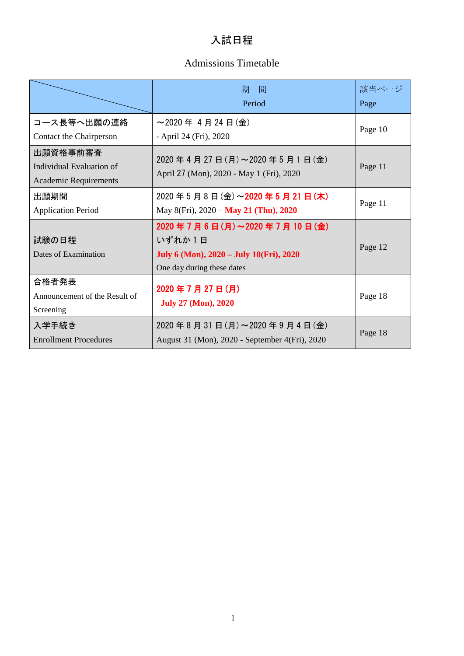### 入試日程

### Admissions Timetable

|                                                                      | 間<br>期<br>Period                                                                                              | 該当ページ<br>Page |
|----------------------------------------------------------------------|---------------------------------------------------------------------------------------------------------------|---------------|
| コース長等へ出願の連絡<br>Contact the Chairperson                               | $\sim$ 2020年 4月24日(金)<br>- April 24 (Fri), 2020                                                               | Page 10       |
| 出願資格事前審査<br>Individual Evaluation of<br><b>Academic Requirements</b> | 2020年4月27日(月)~2020年5月1日(金)<br>April 27 (Mon), 2020 - May 1 (Fri), 2020                                        | Page 11       |
| 出願期間<br><b>Application Period</b>                                    | 2020年5月8日(金)~2020年5月21日(木)<br>May 8(Fri), 2020 - May 21 (Thu), 2020                                           | Page 11       |
| 試験の日程<br>Dates of Examination                                        | 2020年7月6日(月)~2020年7月10日(金)<br>いずれか1日<br>July 6 (Mon), 2020 - July 10(Fri), 2020<br>One day during these dates | Page 12       |
| 合格者発表<br>Announcement of the Result of<br>Screening                  | 2020年7月27日(月)<br><b>July 27 (Mon), 2020</b>                                                                   | Page 18       |
| 入学手続き<br><b>Enrollment Procedures</b>                                | 2020年8月31日(月)~2020年9月4日(金)<br>August 31 (Mon), 2020 - September 4(Fri), 2020                                  | Page 18       |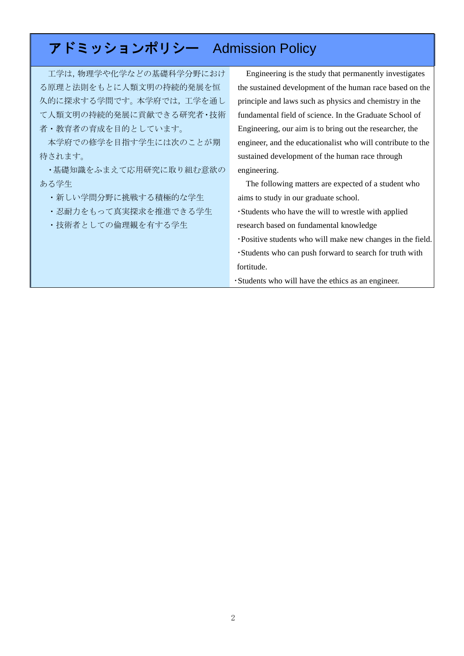# アドミッションポリシー Admission Policy

工学は,物理学や化学などの基礎科学分野におけ る原理と法則をもとに人類文明の持続的発展を恒 久的に探求する学問です。本学府では,工学を通し て人類文明の持続的発展に貢献できる研究者・技術 者・教育者の育成を目的としています。

本学府での修学を目指す学生には次のことが期 待されます。

・基礎知識をふまえて応用研究に取り組む意欲の ある学生

・新しい学問分野に挑戦する積極的な学生

・忍耐力をもって真実探求を推進できる学生

・技術者としての倫理観を有する学生

Engineering is the study that permanently investigates the sustained development of the human race based on the principle and laws such as physics and chemistry in the fundamental field of science. In the Graduate School of Engineering, our aim is to bring out the researcher, the engineer, and the educationalist who will contribute to the sustained development of the human race through engineering.

 The following matters are expected of a student who aims to study in our graduate school.

- ・Students who have the will to wrestle with applied research based on fundamental knowledge
- ・Positive students who will make new changes in the field. ・Students who can push forward to search for truth with fortitude.

・Students who will have the ethics as an engineer.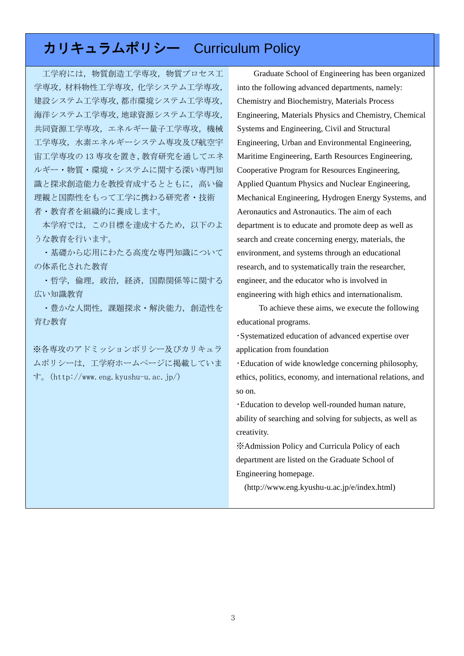# カリキュラムポリシー Curriculum Policy

工学府には,物質創造工学専攻,物質プロセス工 学専攻,材料物性工学専攻,化学システム工学専攻, 建設システム工学専攻,都市環境システム工学専攻, 海洋システム工学専攻,地球資源システム工学専攻, 共同資源工学専攻,エネルギー量子工学専攻,機械 工学専攻,水素エネルギーシステム専攻及び航空宇 宙工学専攻の 13 専攻を置き,教育研究を通してエネ ルギー・物質・環境・システムに関する深い専門知 識と探求創造能力を教授育成するとともに,高い倫 理観と国際性をもって工学に携わる研究者・技術 者・教育者を組織的に養成します。

本学府では,この目標を達成するため,以下のよ うな教育を行います。

・基礎から応用にわたる高度な専門知識について の体系化された教育

・哲学,倫理,政治,経済,国際関係等に関する 広い知識教育

・豊かな人間性,課題探求・解決能力,創造性を 育む教育

※各専攻のアドミッションポリシー及びカリキュラ ムポリシーは,工学府ホームページに掲載していま す。(http://www.eng.kyushu-u.ac.jp/)

Graduate School of Engineering has been organized into the following advanced departments, namely: Chemistry and Biochemistry, Materials Process Engineering, Materials Physics and Chemistry, Chemical Systems and Engineering, Civil and Structural Engineering, Urban and Environmental Engineering, Maritime Engineering, Earth Resources Engineering, Cooperative Program for Resources Engineering, Applied Quantum Physics and Nuclear Engineering, Mechanical Engineering, Hydrogen Energy Systems, and Aeronautics and Astronautics. The aim of each department is to educate and promote deep as well as search and create concerning energy, materials, the environment, and systems through an educational research, and to systematically train the researcher, engineer, and the educator who is involved in engineering with high ethics and internationalism.

 To achieve these aims, we execute the following educational programs.

・Systematized education of advanced expertise over application from foundation

・Education of wide knowledge concerning philosophy, ethics, politics, economy, and international relations, and so on.

・Education to develop well-rounded human nature, ability of searching and solving for subjects, as well as creativity.

※Admission Policy and Curricula Policy of each department are listed on the Graduate School of Engineering homepage.

(http://www.eng.kyushu-u.ac.jp/e/index.html)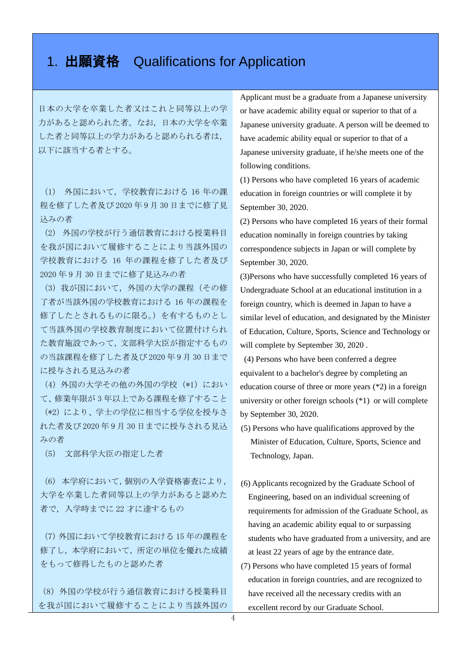### 1. 出願資格 Qualifications for Application

日本の大学を卒業した者又はこれと同等以上の学 力があると認められた者。なお,日本の大学を卒業 した者と同等以上の学力があると認められる者は, 以下に該当する者とする。

(1) 外国において,学校教育における 16 年の課 程を修了した者及び 2020 年 9 月 30 日までに修了見 込みの者

(2) 外国の学校が行う通信教育における授業科目 を我が国において履修することにより当該外国の 学校教育における 16 年の課程を修了した者及び 2020 年 9 月 30 日までに修了見込みの者

(3)我が国において,外国の大学の課程(その修 了者が当該外国の学校教育における 16 年の課程を 修了したとされるものに限る。)を有するものとし て当該外国の学校教育制度において位置付けられ た教育施設であって,文部科学大臣が指定するもの の当該課程を修了した者及び 2020 年 9 月 30 日まで に授与される見込みの者

(4) 外国の大学その他の外国の学校(\*1)におい て、修業年限が 3 年以上である課程を修了すること (\*2)により、学士の学位に相当する学位を授与さ れた者及び 2020 年 9 月 30 日までに授与される見込 みの者

(5) 文部科学大臣の指定した者

(6)本学府において,個別の入学資格審査により, 大学を卒業した者同等以上の学力があると認めた 者で,入学時までに 22 才に達するもの

(7)外国において学校教育における 15 年の課程を 修了し,本学府において,所定の単位を優れた成績 をもって修得したものと認めた者

(8)外国の学校が行う通信教育における授業科目 を我が国において履修することにより当該外国の Applicant must be a graduate from a Japanese university or have academic ability equal or superior to that of a Japanese university graduate. A person will be deemed to have academic ability equal or superior to that of a Japanese university graduate, if he/she meets one of the following conditions.

(1) Persons who have completed 16 years of academic education in foreign countries or will complete it by September 30, 2020.

(2) Persons who have completed 16 years of their formal education nominally in foreign countries by taking correspondence subjects in Japan or will complete by September 30, 2020.

(3)Persons who have successfully completed 16 years of Undergraduate School at an educational institution in a foreign country, which is deemed in Japan to have a similar level of education, and designated by the Minister of Education, Culture, Sports, Science and Technology or will complete by September 30, 2020 .

(4) Persons who have been conferred a degree equivalent to a bachelor's degree by completing an education course of three or more years (\*2) in a foreign university or other foreign schools (\*1) or will complete by September 30, 2020.

- (5) Persons who have qualifications approved by the Minister of Education, Culture, Sports, Science and Technology, Japan.
- (6) Applicants recognized by the Graduate School of Engineering, based on an individual screening of requirements for admission of the Graduate School, as having an academic ability equal to or surpassing students who have graduated from a university, and are at least 22 years of age by the entrance date.
- (7) Persons who have completed 15 years of formal education in foreign countries, and are recognized to have received all the necessary credits with an excellent record by our Graduate School.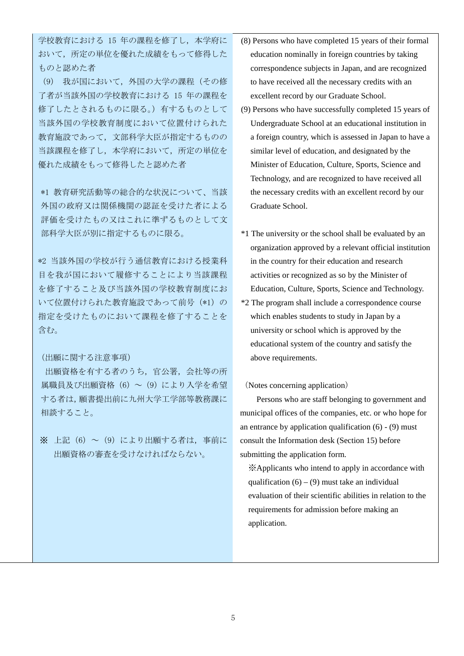学校教育における 15 年の課程を修了し、本学府に おいて,所定の単位を優れた成績をもって修得した ものと認めた者

(9) 我が国において,外国の大学の課程(その修 了者が当該外国の学校教育における 15 年の課程を 修了したとされるものに限る。)有するものとして 当該外国の学校教育制度において位置付けられた 教育施設であって,文部科学大臣が指定するものの 当該課程を修了し,本学府において,所定の単位を 優れた成績をもって修得したと認めた者

\*1 教育研究活動等の総合的な状況について、当該 外国の政府又は関係機関の認証を受けた者による 評価を受けたもの又はこれに準ずるものとして文 部科学大臣が別に指定するものに限る。

\*2 当該外国の学校が行う通信教育における授業科 目を我が国において履修することにより当該課程 を修了すること及び当該外国の学校教育制度にお いて位置付けられた教育施設であって前号(\*1)の 指定を受けたものにおいて課程を修了することを 含む。

#### (出願に関する注意事項)

出願資格を有する者のうち,官公署,会社等の所 属職員及び出願資格(6)~(9)により入学を希望 する者は,願書提出前に九州大学工学部等教務課に 相談すること。

※ 上記(6)~(9)により出願する者は、事前に 出願資格の審査を受けなければならない。

- (8) Persons who have completed 15 years of their formal education nominally in foreign countries by taking correspondence subjects in Japan, and are recognized to have received all the necessary credits with an excellent record by our Graduate School.
- (9) Persons who have successfully completed 15 years of Undergraduate School at an educational institution in a foreign country, which is assessed in Japan to have a similar level of education, and designated by the Minister of Education, Culture, Sports, Science and Technology, and are recognized to have received all the necessary credits with an excellent record by our Graduate School.
- \*1 The university or the school shall be evaluated by an organization approved by a relevant official institution in the country for their education and research activities or recognized as so by the Minister of Education, Culture, Sports, Science and Technology.
- \*2 The program shall include a correspondence course which enables students to study in Japan by a university or school which is approved by the educational system of the country and satisfy the above requirements.

#### (Notes concerning application)

 Persons who are staff belonging to government and municipal offices of the companies, etc. or who hope for an entrance by application qualification  $(6)$  -  $(9)$  must consult the Information desk (Section 15) before submitting the application form.

※Applicants who intend to apply in accordance with qualification  $(6) - (9)$  must take an individual evaluation of their scientific abilities in relation to the requirements for admission before making an application.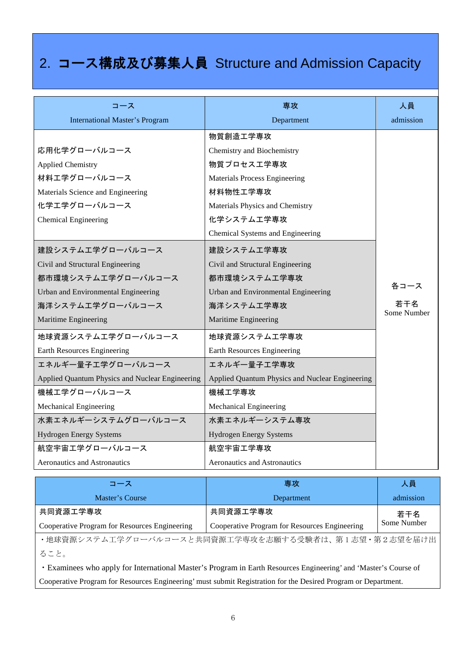# 2. コース構成及び募集人員 Structure and Admission Capacity

| コース                                             | 専攻                                              | 人員                 |
|-------------------------------------------------|-------------------------------------------------|--------------------|
| <b>International Master's Program</b>           | Department                                      | admission          |
|                                                 | 物質創造工学専攻                                        |                    |
| 応用化学グローバルコース                                    | Chemistry and Biochemistry                      |                    |
| <b>Applied Chemistry</b>                        | 物質プロセス工学専攻                                      |                    |
| 材料工学グローバルコース                                    | <b>Materials Process Engineering</b>            |                    |
| Materials Science and Engineering               | 材料物性工学専攻                                        |                    |
| 化学工学グローバルコース                                    | Materials Physics and Chemistry                 |                    |
| <b>Chemical Engineering</b>                     | 化学システム工学専攻                                      |                    |
|                                                 | Chemical Systems and Engineering                |                    |
| 建設システムエ学グローバルコース                                | 建設システム工学専攻                                      |                    |
| Civil and Structural Engineering                | Civil and Structural Engineering                |                    |
| 都市環境システム工学グローバルコース                              | 都市環境システム工学専攻                                    |                    |
| Urban and Environmental Engineering             | Urban and Environmental Engineering             | 各コース               |
| 海洋システムエ学グローバルコース                                | 海洋システム工学専攻                                      | 若干名<br>Some Number |
| Maritime Engineering                            | Maritime Engineering                            |                    |
| 地球資源システム工学グローバルコース                              | 地球資源システム工学専攻                                    |                    |
| Earth Resources Engineering                     | Earth Resources Engineering                     |                    |
| エネルギー量子工学グローバルコース                               | エネルギー量子工学専攻                                     |                    |
| Applied Quantum Physics and Nuclear Engineering | Applied Quantum Physics and Nuclear Engineering |                    |
| 機械工学グローバルコース                                    | 機械工学専攻                                          |                    |
| Mechanical Engineering                          | Mechanical Engineering                          |                    |
| 水素エネルギーシステムグローバルコース                             | 水素エネルギーシステム専攻                                   |                    |
| Hydrogen Energy Systems                         | <b>Hydrogen Energy Systems</b>                  |                    |
| 航空宇宙エ学グローバルコース                                  | 航空宇宙工学専攻                                        |                    |
| Aeronautics and Astronautics                    | <b>Aeronautics and Astronautics</b>             |                    |

| コース                                                 | 専攻                                            | 人員          |  |
|-----------------------------------------------------|-----------------------------------------------|-------------|--|
| Master's Course                                     | Department                                    | admission   |  |
| 共同資源工学専攻                                            | 共同資源工学専攻                                      |             |  |
| Cooperative Program for Resources Engineering       | Cooperative Program for Resources Engineering | Some Number |  |
| ・地球資源システム工学グローバルコースと共同資源工学専攻を志願する受験者は、第1志望・第2志望を届け出 |                                               |             |  |
| ること。                                                |                                               |             |  |
|                                                     |                                               |             |  |

・Examinees who apply for International Master's Program in Earth Resources Engineering' and 'Master's Course of Cooperative Program for Resources Engineering' must submit Registration for the Desired Program or Department.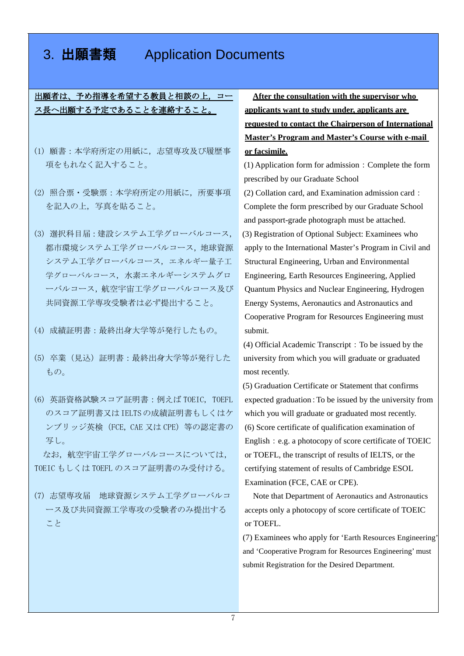### 3. 出願書類 Application Documents

出願者は、予め指導を希望する教員と相談の上,コー ス長へ出願する予定であることを連絡すること。

- (1) 願書:本学府所定の用紙に,志望専攻及び履歴事 項をもれなく記入すること。
- (2) 照合票・受験票:本学府所定の用紙に,所要事項 を記入の上,写真を貼ること。
- (3) 選択科目届:建設システム工学グローバルコース, 都市環境システム工学グローバルコース,地球資源 システム工学グローバルコース,エネルギー量子工 学グローバルコース、水素エネルギーシステムグロ ーバルコース,航空宇宙工学グローバルコース及び 共同資源工学専攻受験者は必ず提出すること。
- (4) 成績証明書:最終出身大学等が発行したもの。
- (5) 卒業(見込)証明書:最終出身大学等が発行した もの。
- (6) 英語資格試験スコア証明書:例えば TOEIC, TOEFL のスコア証明書又はIELTSの成績証明書もしくはケ ンブリッジ英検(FCE, CAE 又は CPE)等の認定書の 写し。

なお、航空宇宙工学グローバルコースについては, TOEIC もしくは TOEFL のスコア証明書のみ受付ける。

(7) 志望専攻届 地球資源システム工学グローバルコ ース及び共同資源工学専攻の受験者のみ提出する こと

**After the consultation with the supervisor who applicants want to study under, applicants are requested to contact the Chairperson of International Master's Program and Master's Course with e-mail or facsimile.**

(1) Application form for admission:Complete the form prescribed by our Graduate School

- (2) Collation card, and Examination admission card: Complete the form prescribed by our Graduate School and passport-grade photograph must be attached. (3) Registration of Optional Subject: Examinees who apply to the International Master's Program in Civil and Structural Engineering, Urban and Environmental Engineering, Earth Resources Engineering, Applied Quantum Physics and Nuclear Engineering, Hydrogen Energy Systems, Aeronautics and Astronautics and Cooperative Program for Resources Engineering must submit.
- $(4)$  Official Academic Transcript: To be issued by the university from which you will graduate or graduated most recently.

(5) Graduation Certificate or Statement that confirms expected graduation:To be issued by the university from which you will graduate or graduated most recently. (6) Score certificate of qualification examination of English: e.g. a photocopy of score certificate of TOEIC or TOEFL, the transcript of results of IELTS, or the certifying statement of results of Cambridge ESOL Examination (FCE, CAE or CPE).

Note that Department of Aeronautics and Astronautics accepts only a photocopy of score certificate of TOEIC or TOEFL.

(7) Examinees who apply for 'Earth Resources Engineering' and 'Cooperative Program for Resources Engineering' must submit Registration for the Desired Department.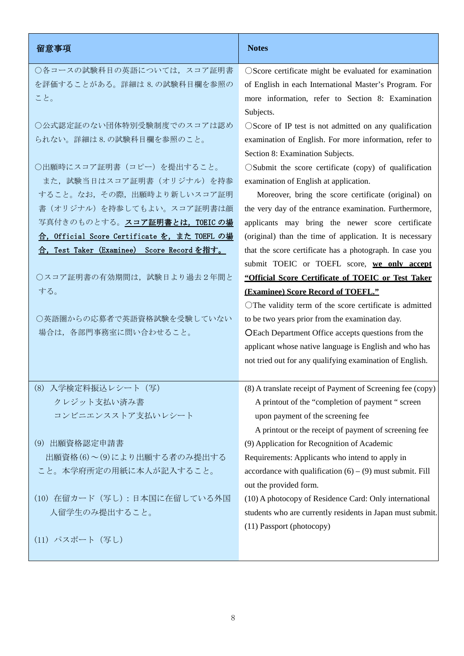| 留意事項                                           | <b>Notes</b>                                                      |  |
|------------------------------------------------|-------------------------------------------------------------------|--|
| ○各コースの試験科目の英語については、スコア証明書                      | OScore certificate might be evaluated for examination             |  |
| を評価することがある。詳細は 8.の試験科目欄を参照の                    | of English in each International Master's Program. For            |  |
| こと。                                            | more information, refer to Section 8: Examination                 |  |
|                                                | Subjects.                                                         |  |
| ○公式認定証のない団体特別受験制度でのスコアは認め                      | $\bigcirc$ Score of IP test is not admitted on any qualification  |  |
| られない。詳細は8.の試験科目欄を参照のこと。                        | examination of English. For more information, refer to            |  |
|                                                | Section 8: Examination Subjects.                                  |  |
| ○出願時にスコア証明書(コピー)を提出すること。                       | $\circ$ Submit the score certificate (copy) of qualification      |  |
| また、試験当日はスコア証明書 (オリジナル) を持参                     | examination of English at application.                            |  |
| すること。なお、その際、出願時より新しいスコア証明                      | Moreover, bring the score certificate (original) on               |  |
| 書(オリジナル)を持参してもよい。スコア証明書は顔                      | the very day of the entrance examination. Furthermore,            |  |
| 写真付きのものとする。スコア証明書とは、TOEIC の場                   | applicants may bring the newer score certificate                  |  |
| Official Score Certificate を、また TOEFL の場<br>合, | (original) than the time of application. It is necessary          |  |
| 合, Test Taker (Examinee) Score Record を指す。     | that the score certificate has a photograph. In case you          |  |
|                                                | submit TOEIC or TOEFL score, we only accept                       |  |
| ○スコア証明書の有効期間は、試験日より過去2年間と                      | "Official Score Certificate of TOEIC or Test Taker                |  |
| する。                                            | (Examinee) Score Record of TOEFL."                                |  |
|                                                | $\bigcirc$ The validity term of the score certificate is admitted |  |
| ○英語圏からの応募者で英語資格試験を受験していない                      | to be two years prior from the examination day.                   |  |
| 場合は、各部門事務室に問い合わせること。                           | O Each Department Office accepts questions from the               |  |
|                                                | applicant whose native language is English and who has            |  |
|                                                | not tried out for any qualifying examination of English.          |  |
| (8) 入学検定料振込レシート (写)                            | (8) A translate receipt of Payment of Screening fee (copy)        |  |
| クレジット支払い済み書                                    | A printout of the "completion of payment " screen                 |  |
| コンビニエンスストア支払いレシート                              | upon payment of the screening fee                                 |  |
|                                                | A printout or the receipt of payment of screening fee             |  |
| (9) 出願資格認定申請書                                  | (9) Application for Recognition of Academic                       |  |
| 出願資格(6)~(9)により出願する者のみ提出する                      | Requirements: Applicants who intend to apply in                   |  |
| こと。本学府所定の用紙に本人が記入すること。                         | accordance with qualification $(6) - (9)$ must submit. Fill       |  |
|                                                | out the provided form.                                            |  |
| (10) 在留カード (写し) : 日本国に在留している外国                 | (10) A photocopy of Residence Card: Only international            |  |
| 人留学生のみ提出すること。                                  | students who are currently residents in Japan must submit.        |  |
|                                                | (11) Passport (photocopy)                                         |  |
| (11) パスポート (写し)                                |                                                                   |  |
|                                                |                                                                   |  |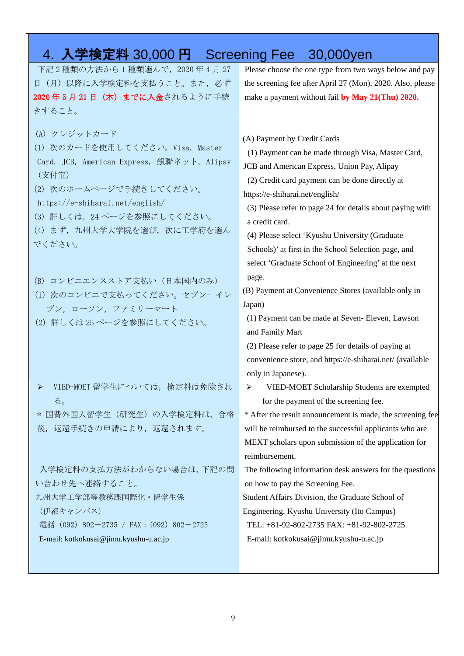### 4. 入学検定料 30,000 円 Screening Fee 30,000yen

下記 2 種類の方法から 1 種類選んで,2020 年 4 月 27 日(月)以降に入学検定料を支払うこと。また、必ず 2020年5月21日 (木)までに入金されるように手続 きすること。

(A) クレジットカード

(1) 次のカードを使用してください。Visa, Master Card, JCB, American Express, 銀聯ネット, Alipay (支付宝)

(2) 次のホームページで手続きしてください。

- https://e-shiharai.net/english/
- (3) 詳しくは,24 ページを参照にしてください。
- (4) まず,九州大学大学院を選び,次に工学府を選ん でください。
- (B) コンビニエンスストア支払い(日本国内のみ)
- (1) 次のコンビニで支払ってください。セブン- イレ ブン,ローソン,ファミリーマート
- (2) 詳しくは 25 ページを参照にしてください。

> VIED-MOET 留学生については、検定料は免除され る。

\* 国費外国人留学生(研究生)の入学検定料は,合格 後,返還手続きの申請により,返還されます。

入学検定料の支払方法がわからない場合は,下記の問 い合わせ先へ連絡すること。

九州大学工学部等教務課国際化・留学生係

(伊都キャンパス)

電話 (092) 802-2735 / FAX: (092) 802-2725

#### E-mail: kotkokusai@jimu.kyushu-u.ac.jp

Please choose the one type from two ways below and pay the screening fee after April 27 (Mon), 2020. Also, please make a payment without fail **by May 21(Thu) 2020.**

(A) Payment by Credit Cards

(1) Payment can be made through Visa, Master Card,

JCB and American Express, Union Pay, Alipay

(2) Credit card payment can be done directly at https://e-shiharai.net/english/

(3) Please refer to page 24 for details about paying with a credit card.

(4) Please select 'Kyushu University (Graduate Schools)' at first in the School Selection page, and select 'Graduate School of Engineering' at the next page.

(B) Payment at Convenience Stores (available only in Japan)

(1) Payment can be made at Seven- Eleven, Lawson and Family Mart

(2) Please refer to page 25 for details of paying at convenience store, and https://e-shiharai.net/ (available only in Japanese).

 VIED-MOET Scholarship Students are exempted for the payment of the screening fee.

\* After the result announcement is made, the screening fee will be reimbursed to the successful applicants who are MEXT scholars upon submission of the application for reimbursement.

The following information desk answers for the questions on how to pay the Screening Fee.

Student Affairs Division, the Graduate School of

Engineering, Kyushu University (Ito Campus)

TEL: +81-92-802-2735 FAX: +81-92-802-2725

E-mail: kotkokusai@jimu.kyushu-u.ac.jp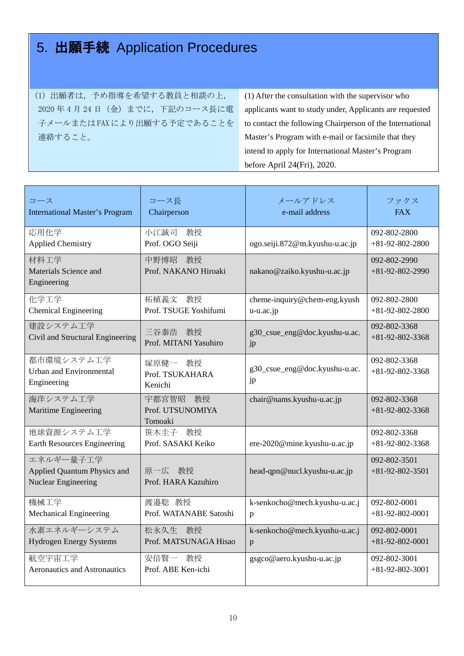# 5. 出願手続 Application Procedures

(1) 出願者は,予め指導を希望する教員と相談の上, 2020 年 4 月 24 日(金)までに,下記のコース長に電 子メールまたは FAX により出願する予定であることを 連絡すること。

(1) After the consultation with the supervisor who applicants want to study under, Applicants are requested to contact the following Chairperson of the International Master's Program with e-mail or facsimile that they intend to apply for International Master's Program before April 24(Fri), 2020.

| コース                                                             | コース長                                    | メールアドレス                             | ファクス                              |
|-----------------------------------------------------------------|-----------------------------------------|-------------------------------------|-----------------------------------|
| <b>International Master's Program</b>                           | Chairperson                             | e-mail address                      | <b>FAX</b>                        |
| 応用化学<br><b>Applied Chemistry</b>                                | 教授<br>小江誠司<br>Prof. OGO Seiji           | ogo.seiji.872@m.kyushu-u.ac.jp      | 092-802-2800<br>$+81-92-802-2800$ |
| 材料工学<br>Materials Science and<br>Engineering                    | 中野博昭<br>教授<br>Prof. NAKANO Hiroaki      | nakano@zaiko.kyushu-u.ac.jp         | 092-802-2990<br>$+81-92-802-2990$ |
| 化学工学                                                            | 柘植義文 教授                                 | cheme-inquiry@chem-eng.kyush        | 092-802-2800                      |
| <b>Chemical Engineering</b>                                     | Prof. TSUGE Yoshifumi                   | $u$ - $u$ . $ac$ . $jp$             | $+81-92-802-2800$                 |
| 建設システム工学                                                        | 三谷泰浩 教授                                 | g30_csue_eng@doc.kyushu-u.ac.       | 092-802-3368                      |
| Civil and Structural Engineering                                | Prof. MITANI Yasuhiro                   | jp                                  | $+81-92-802-3368$                 |
| 都市環境システム工学<br><b>Urban and Environmental</b><br>Engineering     | 塚原健一 教授<br>Prof. TSUKAHARA<br>Kenichi   | g30_csue_eng@doc.kyushu-u.ac.<br>jp | 092-802-3368<br>$+81-92-802-3368$ |
| 海洋システム工学<br>Maritime Engineering                                | 宇都宮智昭 教授<br>Prof. UTSUNOMIYA<br>Tomoaki | chair@nams.kyushu-u.ac.jp           | 092-802-3368<br>$+81-92-802-3368$ |
| 地球資源システム工学                                                      | 笹木圭子 教授                                 | ere-2020@mine.kyushu-u.ac.jp        | 092-802-3368                      |
| <b>Earth Resources Engineering</b>                              | Prof. SASAKI Keiko                      |                                     | $+81-92-802-3368$                 |
| エネルギー量子工学<br>Applied Quantum Physics and<br>Nuclear Engineering | 原一広 教授<br>Prof. HARA Kazuhiro           | head-qpn@nucl.kyushu-u.ac.jp        | 092-802-3501<br>$+81-92-802-3501$ |
| 機械工学                                                            | 渡邉聡 教授                                  | k-senkocho@mech.kyushu-u.ac.j       | 092-802-0001                      |
| Mechanical Engineering                                          | Prof. WATANABE Satoshi                  | $\mathbf{p}$                        | $+81-92-802-0001$                 |
| 水素エネルギーシステム                                                     | 松永久生 教授                                 | k-senkocho@mech.kyushu-u.ac.j       | 092-802-0001                      |
| <b>Hydrogen Energy Systems</b>                                  | Prof. MATSUNAGA Hisao                   | p                                   | $+81-92-802-0001$                 |
| 航空宇宙工学                                                          | 安倍賢一 教授                                 | gsgco@aero.kyushu-u.ac.jp           | 092-802-3001                      |
| <b>Aeronautics and Astronautics</b>                             | Prof. ABE Ken-ichi                      |                                     | $+81-92-802-3001$                 |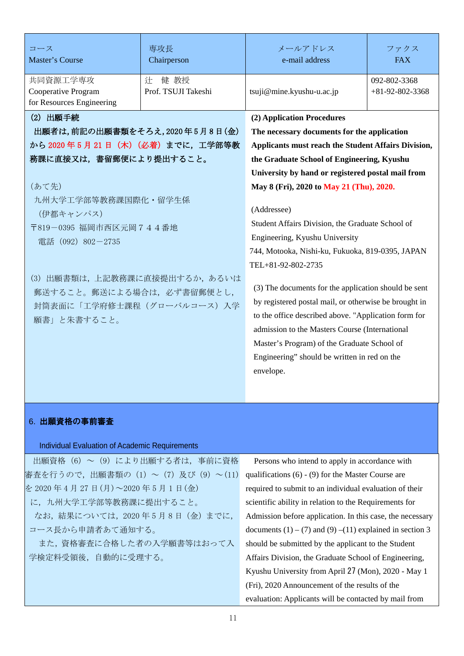| コース<br>Master's Course                                                                                                                                                                                                                                              | 専攻長<br>Chairperson               | メールアドレス<br>e-mail address                                                                                                                                                                                                                                                                                                                                                                                                                                                                                                                                                       | ファクス<br><b>FAX</b>                |
|---------------------------------------------------------------------------------------------------------------------------------------------------------------------------------------------------------------------------------------------------------------------|----------------------------------|---------------------------------------------------------------------------------------------------------------------------------------------------------------------------------------------------------------------------------------------------------------------------------------------------------------------------------------------------------------------------------------------------------------------------------------------------------------------------------------------------------------------------------------------------------------------------------|-----------------------------------|
| 共同資源工学専攻<br>Cooperative Program<br>for Resources Engineering                                                                                                                                                                                                        | 健 教授<br>辻<br>Prof. TSUJI Takeshi | tsuji@mine.kyushu-u.ac.jp                                                                                                                                                                                                                                                                                                                                                                                                                                                                                                                                                       | 092-802-3368<br>$+81-92-802-3368$ |
| (2) 出願手続<br>出願者は,前記の出願書類をそろえ,2020年5月8日(金)<br>から 2020年5月21日 (木) (必着)までに、工学部等教<br>務課に直接又は、書留郵便により提出すること。<br>(あて先)<br>九州大学工学部等教務課国際化・留学生係<br>(伊都キャンパス)<br>〒819-0395 福岡市西区元岡744番地<br>電話 (092) 802-2735<br>(3)<br>郵送すること。郵送による場合は、必ず書留郵便とし,<br>封筒表面に「工学府修士課程(グローバルコース)入学 | 出願書類は、上記教務課に直接提出するか、あるいは         | (2) Application Procedures<br>The necessary documents for the application<br>Applicants must reach the Student Affairs Division,<br>the Graduate School of Engineering, Kyushu<br>University by hand or registered postal mail from<br>May 8 (Fri), 2020 to May 21 (Thu), 2020.<br>(Addressee)<br>Student Affairs Division, the Graduate School of<br>Engineering, Kyushu University<br>744, Motooka, Nishi-ku, Fukuoka, 819-0395, JAPAN<br>TEL+81-92-802-2735<br>(3) The documents for the application should be sent<br>by registered postal mail, or otherwise be brought in |                                   |
| 願書」と朱書すること。                                                                                                                                                                                                                                                         |                                  | admission to the Masters Course (International<br>Master's Program) of the Graduate School of<br>Engineering" should be written in red on the<br>envelope.                                                                                                                                                                                                                                                                                                                                                                                                                      |                                   |

#### 6. 出願資格の事前審査

#### Individual Evaluation of Academic Requirements

| 出願資格 (6) ~ (9) により出願する者は、事前に資格 |
|--------------------------------|
| 審査を行うので,出願書類の(1)~(7)及び(9)~(11) |
| を 2020年4月27日(月)~2020年5月1日(金)   |
| に、九州大学工学部等教務課に提出すること。          |
| なお、結果については、2020年5月8日 (金)までに、   |
| コース長から申請者あて通知する。               |
| また、資格審査に合格した者の入学願書等はおって入       |
| 学検定料受領後,自動的に受理する。              |
|                                |

Persons who intend to apply in accordance with qualifications (6) - (9) for the Master Course are required to submit to an individual evaluation of their scientific ability in relation to the Requirements for Admission before application. In this case, the necessary documents  $(1) - (7)$  and  $(9) - (11)$  explained in section 3 should be submitted by the applicant to the Student Affairs Division, the Graduate School of Engineering, Kyushu University from April 27 (Mon), 2020 - May 1 (Fri), 2020 Announcement of the results of the evaluation: Applicants will be contacted by mail from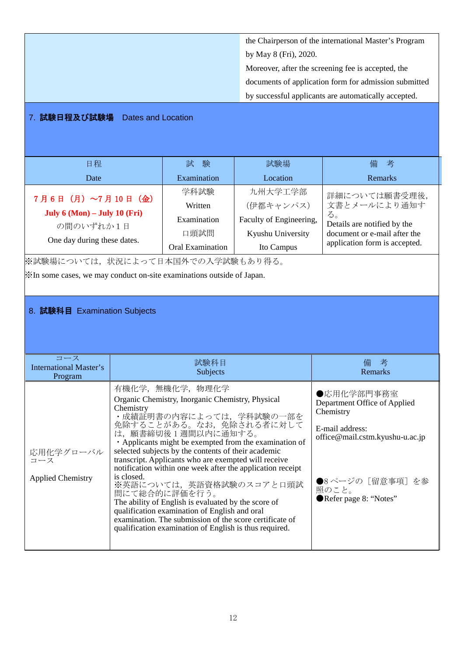the Chairperson of the international Master's Program by May 8 (Fri), 2020. Moreover, after the screening fee is accepted, the documents of application form for admission submitted by successful applicants are automatically accepted.

#### 7. 試験日程及び試験場 Dates and Location

| 日程                                                                                                                        |                                                                                                                                                                                                                                                                                                                                                                                                                                                                                                                                                                                                                                                                                             | 試<br>験                                                            | 試験場                                                                                                                                                                 | 考<br>備                                                                                                                              |
|---------------------------------------------------------------------------------------------------------------------------|---------------------------------------------------------------------------------------------------------------------------------------------------------------------------------------------------------------------------------------------------------------------------------------------------------------------------------------------------------------------------------------------------------------------------------------------------------------------------------------------------------------------------------------------------------------------------------------------------------------------------------------------------------------------------------------------|-------------------------------------------------------------------|---------------------------------------------------------------------------------------------------------------------------------------------------------------------|-------------------------------------------------------------------------------------------------------------------------------------|
| Date                                                                                                                      |                                                                                                                                                                                                                                                                                                                                                                                                                                                                                                                                                                                                                                                                                             | Examination                                                       | Location                                                                                                                                                            | <b>Remarks</b>                                                                                                                      |
| 7月6日 (月) ~7月10日 (金)<br>July $6 \text{ (Mon)} - \text{July } 10 \text{ (Fri)}$<br>の間のいずれか1日<br>One day during these dates. |                                                                                                                                                                                                                                                                                                                                                                                                                                                                                                                                                                                                                                                                                             | 学科試験<br>Written<br>Examination<br>口頭試問<br><b>Oral Examination</b> | 九州大学工学部<br>(伊都キャンパス)<br>Faculty of Engineering,<br>Kyushu University<br>Ito Campus                                                                                  | 詳細については願書受理後,<br>文書とメールにより通知す<br>る。<br>Details are notified by the<br>document or e-mail after the<br>application form is accepted. |
| ※試験場については、状況によって日本国外での入学試験もあり得る。                                                                                          |                                                                                                                                                                                                                                                                                                                                                                                                                                                                                                                                                                                                                                                                                             |                                                                   |                                                                                                                                                                     |                                                                                                                                     |
| X <sup>*</sup> In some cases, we may conduct on-site examinations outside of Japan.                                       |                                                                                                                                                                                                                                                                                                                                                                                                                                                                                                                                                                                                                                                                                             |                                                                   |                                                                                                                                                                     |                                                                                                                                     |
|                                                                                                                           |                                                                                                                                                                                                                                                                                                                                                                                                                                                                                                                                                                                                                                                                                             |                                                                   |                                                                                                                                                                     |                                                                                                                                     |
| 8. 試験科目 Examination Subjects                                                                                              |                                                                                                                                                                                                                                                                                                                                                                                                                                                                                                                                                                                                                                                                                             |                                                                   |                                                                                                                                                                     |                                                                                                                                     |
| コース<br><b>International Master's</b><br>Program                                                                           |                                                                                                                                                                                                                                                                                                                                                                                                                                                                                                                                                                                                                                                                                             | 試験科目<br>Subjects                                                  |                                                                                                                                                                     | 備 考<br><b>Remarks</b>                                                                                                               |
| 応用化学グローバル<br>コース<br><b>Applied Chemistry</b>                                                                              | 有機化学, 無機化学, 物理化学<br>Organic Chemistry, Inorganic Chemistry, Physical<br>Chemistry<br>・成績証明書の内容によっては、学科試験の一部を<br>免除することがある。なお、免除される者に対して<br>は、願書締切後1週間以内に通知する。<br>• Applicants might be exempted from the examination of<br>selected subjects by the contents of their academic<br>transcript. Applicants who are exempted will receive<br>notification within one week after the application receipt<br>is closed.<br>※英語については、英語資格試験のスコアと口頭試<br>問にて総合的に評価を行う。<br>The ability of English is evaluated by the score of<br>qualification examination of English and oral<br>examination. The submission of the score certificate of<br>qualification examination of English is thus required. |                                                                   | ●応用化学部門事務室<br>Department Office of Applied<br>Chemistry<br>E-mail address:<br>office@mail.cstm.kyushu-u.ac.jp<br>●8ページの [留意事項] を参<br>照のこと。<br>Refer page 8: "Notes" |                                                                                                                                     |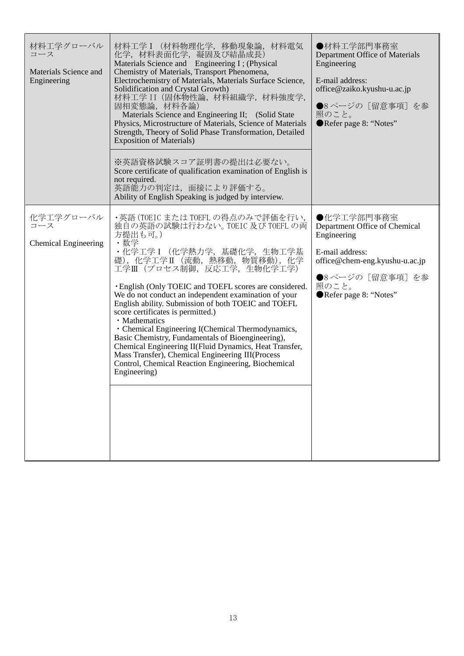| 材料工学グローバル<br>コース<br>Materials Science and<br>Engineering | 材料工学 I (材料物理化学,移動現象論,材料電気<br>化学, 材料表面化学, 凝固及び結晶成長)<br>Materials Science and Engineering I; (Physical<br>Chemistry of Materials, Transport Phenomena,<br>Electrochemistry of Materials, Materials Surface Science,<br>Solidification and Crystal Growth)<br>材料工学 II (固体物性論, 材料組織学, 材料強度学,<br>固相変態論, 材料各論)<br>Materials Science and Engineering II; (Solid State<br>Physics, Microstructure of Materials, Science of Materials<br>Strength, Theory of Solid Phase Transformation, Detailed<br><b>Exposition of Materials)</b>                                                                                                                                                                                           | ●材料工学部門事務室<br>Department Office of Materials<br>Engineering<br>E-mail address:<br>office@zaiko.kyushu-u.ac.jp<br>●8ページの [留意事項] を参<br>照のこと。<br>Refer page 8: "Notes"   |
|----------------------------------------------------------|-----------------------------------------------------------------------------------------------------------------------------------------------------------------------------------------------------------------------------------------------------------------------------------------------------------------------------------------------------------------------------------------------------------------------------------------------------------------------------------------------------------------------------------------------------------------------------------------------------------------------------------------------------------------------------------------------------------------------|-----------------------------------------------------------------------------------------------------------------------------------------------------------------------|
|                                                          | ※英語資格試験スコア証明書の提出は必要ない。<br>Score certificate of qualification examination of English is<br>not required.<br>英語能力の判定は、面接により評価する。<br>Ability of English Speaking is judged by interview.                                                                                                                                                                                                                                                                                                                                                                                                                                                                                                                                 |                                                                                                                                                                       |
| 化学工学グローバル<br>コース<br><b>Chemical Engineering</b>          | ・英語(TOEIC または TOEFL の得点のみで評価を行い,<br>独自の英語の試験は行わない。TOEIC 及び TOEFL の両<br>方提出も可。)<br>・数学<br>· 化学工学 I (化学熱力学, 基礎化学, 生物工学基<br>礎), 化学工学II (流動, 熱移動, 物質移動), 化学<br>工学Ⅲ(プロセス制御,反応工学,生物化学工学)<br><b>English (Only TOEIC and TOEFL scores are considered.</b><br>We do not conduct an independent examination of your<br>English ability. Submission of both TOEIC and TOEFL<br>score certificates is permitted.)<br>· Mathematics<br>• Chemical Engineering I(Chemical Thermodynamics,<br>Basic Chemistry, Fundamentals of Bioengineering),<br>Chemical Engineering II(Fluid Dynamics, Heat Transfer,<br>Mass Transfer), Chemical Engineering III(Process<br>Control, Chemical Reaction Engineering, Biochemical<br>Engineering) | ●化学工学部門事務室<br>Department Office of Chemical<br>Engineering<br>E-mail address:<br>office@chem-eng.kyushu-u.ac.jp<br>●8ページの [留意事項] を参<br>照のこと。<br>Refer page 8: "Notes" |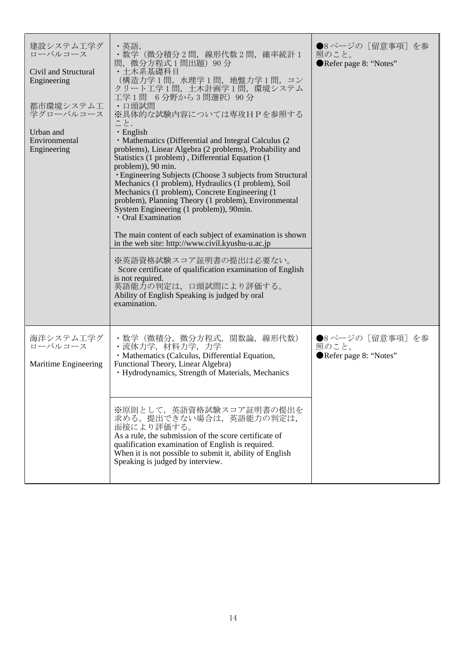| 建設システム工学グ<br>ローバルコース<br>Civil and Structural<br>Engineering<br>都市環境システム工<br>学グローバルコース<br>Urban and<br>Environmental<br>Engineering | ・英語,<br>・数学(微分積分2問,線形代数2問,確率統計1<br>問,微分方程式 1 問出題)90 分<br>・土木系基礎科目<br>(構造力学1問, 水理学1問, 地盤力学1問, コン<br>クリート工学1問、土木計画学1問、環境システム<br>工学1問 6分野から3問選択) 90分<br>・口頭試問<br>※具体的な試験内容については専攻HPを参照する<br>こと.<br>$\cdot$ English<br>• Mathematics (Differential and Integral Calculus (2)<br>problems), Linear Algebra (2 problems), Probability and<br>Statistics (1 problem), Differential Equation (1<br>problem)), 90 min.<br>• Engineering Subjects (Choose 3 subjects from Structural<br>Mechanics (1 problem), Hydraulics (1 problem), Soil<br>Mechanics (1 problem), Concrete Engineering (1<br>problem), Planning Theory (1 problem), Environmental<br>System Engineering (1 problem)), 90min.<br>· Oral Examination<br>The main content of each subject of examination is shown<br>in the web site: http://www.civil.kyushu-u.ac.jp<br>※英語資格試験スコア証明書の提出は必要ない。<br>Score certificate of qualification examination of English<br>is not required.<br>英語能力の判定は,口頭試問により評価する。<br>Ability of English Speaking is judged by oral<br>examination. | ●8ページの「留意事項]を参<br>照のこと。<br>Refer page 8: "Notes"   |
|------------------------------------------------------------------------------------------------------------------------------------|-----------------------------------------------------------------------------------------------------------------------------------------------------------------------------------------------------------------------------------------------------------------------------------------------------------------------------------------------------------------------------------------------------------------------------------------------------------------------------------------------------------------------------------------------------------------------------------------------------------------------------------------------------------------------------------------------------------------------------------------------------------------------------------------------------------------------------------------------------------------------------------------------------------------------------------------------------------------------------------------------------------------------------------|----------------------------------------------------|
| 海洋システム工学グ<br>ローバルコース<br>Maritime Engineering                                                                                       | ・数学(微積分,微分方程式,関数論,線形代数)<br>・流体力学,材料力学,力学<br>· Mathematics (Calculus, Differential Equation,<br>Functional Theory, Linear Algebra)<br>· Hydrodynamics, Strength of Materials, Mechanics                                                                                                                                                                                                                                                                                                                                                                                                                                                                                                                                                                                                                                                                                                                                                                                                                                            | ●8ページの [留意事項] を参<br>照のこと。<br>Refer page 8: "Notes" |
|                                                                                                                                    | ※原則として,英語資格試験スコア証明書の提出を<br>求める。提出できない場合は、英語能力の判定は,<br>面接により評価する。<br>As a rule, the submission of the score certificate of<br>qualification examination of English is required.<br>When it is not possible to submit it, ability of English<br>Speaking is judged by interview.                                                                                                                                                                                                                                                                                                                                                                                                                                                                                                                                                                                                                                                                                                                                                    |                                                    |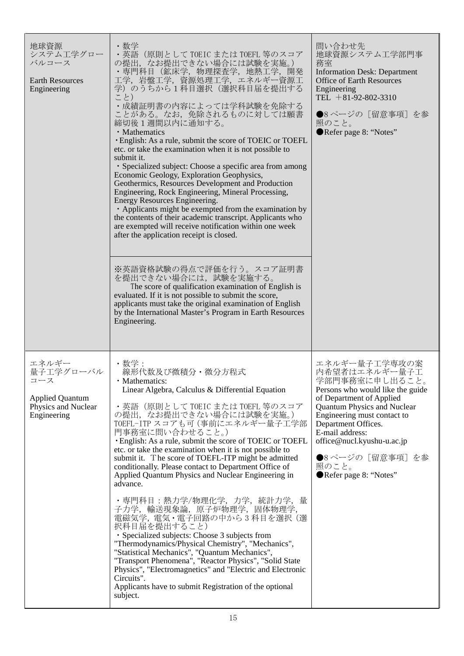| 地球資源<br>システム工学グロー<br>バルコース<br><b>Earth Resources</b><br>Engineering                       | ・数学<br>・英語(原則として TOEIC または TOEFL 等のスコア<br>の提出、なお提出できない場合には試験を実施。)<br>・専門科目 (鉱床学, 物理探査学, 地熱工学, 開発<br>工学, 岩盤工学, 資源処理工学, エネルギー資源工<br>学)のうちから1科目選択(選択科目届を提出する<br>こと)<br>• 成績証明書の内容によっては学科試験を免除する<br>ことがある。なお,免除されるものに対しては願書<br>締切後1週間以内に通知する。<br>· Mathematics<br>· English: As a rule, submit the score of TOEIC or TOEFL<br>etc. or take the examination when it is not possible to<br>submit it.<br>· Specialized subject: Choose a specific area from among<br>Economic Geology, Exploration Geophysics,<br>Geothermics, Resources Development and Production<br>Engineering, Rock Engineering, Mineral Processing,<br>Energy Resources Engineering.<br>• Applicants might be exempted from the examination by<br>the contents of their academic transcript. Applicants who<br>are exempted will receive notification within one week<br>after the application receipt is closed.<br>※英語資格試験の得点で評価を行う。スコア証明書<br>を提出できない場合には、試験を実施する。<br>The score of qualification examination of English is<br>evaluated. If it is not possible to submit the score,<br>applicants must take the original examination of English<br>by the International Master's Program in Earth Resources<br>Engineering. | 問い合わせ先<br>地球資源システム工学部門事<br>務室<br><b>Information Desk: Department</b><br><b>Office of Earth Resources</b><br>Engineering<br>TEL $+81-92-802-3310$<br>●8ページの [留意事項] を参<br>照のこと。<br>Refer page 8: "Notes"                                                                                                              |
|-------------------------------------------------------------------------------------------|-----------------------------------------------------------------------------------------------------------------------------------------------------------------------------------------------------------------------------------------------------------------------------------------------------------------------------------------------------------------------------------------------------------------------------------------------------------------------------------------------------------------------------------------------------------------------------------------------------------------------------------------------------------------------------------------------------------------------------------------------------------------------------------------------------------------------------------------------------------------------------------------------------------------------------------------------------------------------------------------------------------------------------------------------------------------------------------------------------------------------------------------------------------------------------------------------|---------------------------------------------------------------------------------------------------------------------------------------------------------------------------------------------------------------------------------------------------------------------------------------------------------------------|
| エネルギー<br>量子工学グローバル<br>コース<br><b>Applied Quantum</b><br>Physics and Nuclear<br>Engineering | ・数学:<br>線形代数及び微積分・微分方程式<br>• Mathematics:<br>Linear Algebra, Calculus & Differential Equation<br>・英語(原則として TOEIC または TOEFL 等のスコア<br>の提出,なお提出できない場合には試験を実施。)<br>TOEFL-ITP スコアも可 (事前にエネルギー量子工学部<br>門事務室に問い合わせること。)<br>· English: As a rule, submit the score of TOEIC or TOEFL<br>etc. or take the examination when it is not possible to<br>submit it. The score of TOEFL-ITP might be admitted<br>conditionally. Please contact to Department Office of<br>Applied Quantum Physics and Nuclear Engineering in<br>advance.<br>・専門科目:熱力学/物理化学,力学,統計力学,<br>量<br>子力学, 輸送現象論, 原子炉物理学, 固体物理学,<br>電磁気学, 電気・電子回路の中から3科目を選択(選<br>択科目届を提出すること)<br>· Specialized subjects: Choose 3 subjects from<br>"Thermodynamics/Physical Chemistry", "Mechanics",<br>"Statistical Mechanics", "Quantum Mechanics",<br>"Transport Phenomena", "Reactor Physics", "Solid State<br>Physics", "Electromagnetics" and "Electric and Electronic<br>Circuits".<br>Applicants have to submit Registration of the optional<br>subject.                                                                                                                                                                                       | エネルギー量子工学専攻の案<br>内希望者はエネルギー量子工<br>学部門事務室に申し出ること。<br>Persons who would like the guide<br>of Department of Applied<br><b>Quantum Physics and Nuclear</b><br>Engineering must contact to<br>Department Offices.<br>E-mail address:<br>office@nucl.kyushu-u.ac.jp<br>●8ページの [留意事項] を参<br>照のこと。<br>Refer page 8: "Notes" |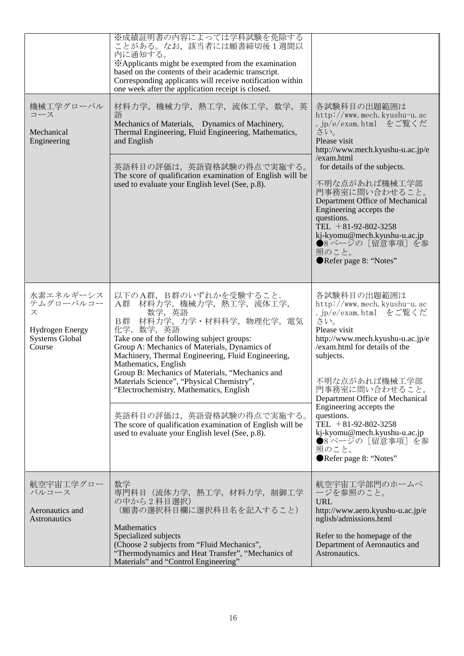| 機械工学グローバル<br>コース<br>Mechanical<br>Engineering                                            | ※成績証明書の内容によっては学科試験を免除する<br>ことがある。なお、該当者には願書締切後1週間以<br>内に通知する。<br>*Applicants might be exempted from the examination<br>based on the contents of their academic transcript.<br>Corresponding applicants will receive notification within<br>one week after the application receipt is closed.<br>材料力学,機械力学,熱工学,流体工学,数学,英<br>語<br>Mechanics of Materials, Dynamics of Machinery,<br>Thermal Engineering, Fluid Engineering, Mathematics,<br>and English<br>英語科目の評価は,英語資格試験の得点で実施する。<br>The score of qualification examination of English will be<br>used to evaluate your English level (See, p.8). | 各試験科目の出題範囲は<br>$http://www.mech. kynshu-u. ac$<br>.jp/e/exam.html をご覧くだ<br>さい。<br>Please visit<br>http://www.mech.kyushu-u.ac.jp/e<br>/exam.html<br>for details of the subjects.<br>不明な点があれば機械工学部<br>門事務室に問い合わせること。<br>Department Office of Mechanical<br>Engineering accepts the<br>questions.<br>TEL $+81-92-802-3258$<br>kj-kyomu@mech.kyushu-u.ac.jp<br>●8ページの [留意事項] を参<br>照のこと。<br>Refer page 8: "Notes" |
|------------------------------------------------------------------------------------------|---------------------------------------------------------------------------------------------------------------------------------------------------------------------------------------------------------------------------------------------------------------------------------------------------------------------------------------------------------------------------------------------------------------------------------------------------------------------------------------------------------------------------------------------------------------------------------------------------|----------------------------------------------------------------------------------------------------------------------------------------------------------------------------------------------------------------------------------------------------------------------------------------------------------------------------------------------------------------------------------------------------------------|
| 水素エネルギーシス<br>テムグローバルコー<br>ス<br><b>Hydrogen Energy</b><br><b>Systems Global</b><br>Course | 以下のA群, B群のいずれかを受験すること.<br>材料力学, 機械力学, 熱工学, 流体工学,<br>A群<br>数学, 英語<br>B群 材料力学, 力学·材料科学, 物理化学, 電気<br>化学,数学,英語<br>Take one of the following subject groups:<br>Group A: Mechanics of Materials, Dynamics of<br>Machinery, Thermal Engineering, Fluid Engineering,<br>Mathematics, English<br>Group B: Mechanics of Materials, "Mechanics and<br>Materials Science", "Physical Chemistry",<br>"Electrochemistry, Mathematics, English<br>英語科目の評価は、英語資格試験の得点で実施する。<br>The score of qualification examination of English will be<br>used to evaluate your English level (See, p.8).                      | 各試験科目の出題範囲は<br>http://www.mech.kyushu-u.ac<br>.jp/e/exam.html をご覧くだ<br>さい。<br>Please visit<br>http://www.mech.kyushu-u.ac.jp/e<br>/exam.html for details of the<br>subjects.<br>不明な点があれば機械工学部<br>門事務室に問い合わせること。<br>Department Office of Mechanical<br>Engineering accepts the<br>questions.<br>TEL $+81-92-802-3258$<br>kj-kyomu@mech.kyushu-u.ac.jp<br>●8ページの [留意事項] を参<br>照のこと。<br>Refer page 8: "Notes"     |
| 航空宇宙工学グロー<br>バルコース<br>Aeronautics and<br>Astronautics                                    | 数学<br>専門科目 (流体力学, 熱工学, 材料力学, 制御工学<br>の中から2科目選択)<br>(願書の選択科目欄に選択科目名を記入すること)<br>Mathematics<br>Specialized subjects<br>(Choose 2 subjects from "Fluid Mechanics",<br>"Thermodynamics and Heat Transfer", "Mechanics of<br>Materials" and "Control Engineering"                                                                                                                                                                                                                                                                                                                                      | 航空宇宙工学部門のホームペ<br>ージを参照のこと。<br><b>URL</b><br>http://www.aero.kyushu-u.ac.jp/e<br>nglish/admissions.html<br>Refer to the homepage of the<br>Department of Aeronautics and<br>Astronautics.                                                                                                                                                                                                                       |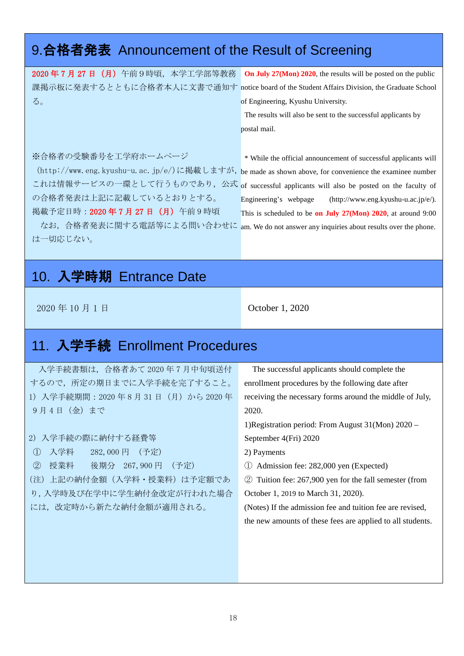## 9.合格者発表 Announcement of the Result of Screening

| 2020年7月27日 (月) 午前9時頃,本学工学部等教務                                                               | On July 27(Mon) 2020, the results will be posted on the public       |
|---------------------------------------------------------------------------------------------|----------------------------------------------------------------------|
| 課掲示板に発表するとともに合格者本人に文書で通知す notice board of the Student Affairs Division, the Graduate School |                                                                      |
| $\delta$ .                                                                                  | of Engineering, Kyushu University.                                   |
|                                                                                             | The results will also be sent to the successful applicants by        |
|                                                                                             | postal mail.                                                         |
|                                                                                             |                                                                      |
| ※合格者の受験番号を工学府ホームページ                                                                         | * While the official announcement of successful applicants will      |
| (http://www.eng.kyushu-u.ac.jp/e/)に掲載しますが,                                                  | be made as shown above, for convenience the examinee number          |
| これは情報サービスの一環として行うものであり、公式 of successful applicants will also be posted on the faculty of    |                                                                      |
| の合格者発表は上記に記載しているとおりとする。                                                                     | Engineering's webpage<br>$(\text{http://www.eng.kyushu-u.ac.jp/e}).$ |
| 揭載予定日時: 2020年7月27日 (月) 午前9時頃                                                                | This is scheduled to be on July $27(Mon)$ 2020, at around 9:00       |
| なお、合格者発表に関する電話等による問い合わせに                                                                    | am. We do not answer any inquiries about results over the phone.     |
| は一切応じない。                                                                                    |                                                                      |
|                                                                                             |                                                                      |

### 10. 入学時期 Entrance Date

2020年10月1日 **October 1, 2020** 

### 11. 入学手続 Enrollment Procedures

入学手続書類は,合格者あて 2020 年 7 月中旬頃送付 するので,所定の期日までに入学手続を完了すること。 1) 入学手続期間:2020 年 8 月 31 日(月)から 2020 年 9月4日 (金)まで

#### 2) 入学手続の際に納付する経費等

- ① 入学料 282,000 円 (予定)
- ② 授業料 後期分 267,900 円 (予定)
- (注)上記の納付金額(入学料・授業料)は予定額であ り,入学時及び在学中に学生納付金改定が行われた場合

には,改定時から新たな納付金額が適用される。

The successful applicants should complete the enrollment procedures by the following date after receiving the necessary forms around the middle of July, 2020.

1)Registration period: From August 31(Mon) 2020 – September 4(Fri) 2020

- 2) Payments
- ① Admission fee: 282,000 yen (Expected)
- ② Tuition fee: 267,900 yen for the fall semester (from

October 1, 2019 to March 31, 2020).

(Notes) If the admission fee and tuition fee are revised, the new amounts of these fees are applied to all students.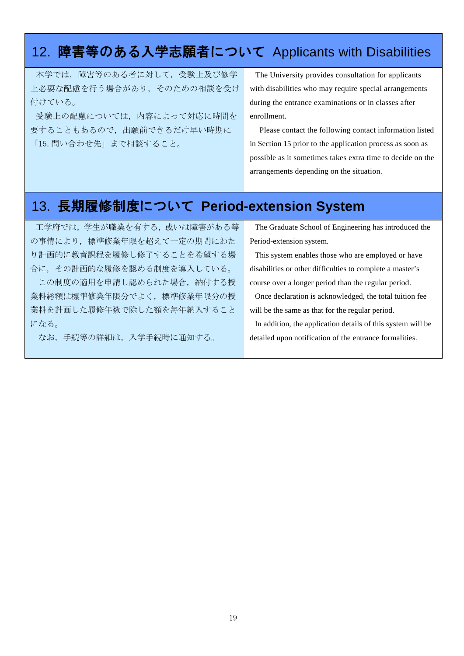### 12. 障害等のある入学志願者について Applicants with Disabilities

本学では,障害等のある者に対して,受験上及び修学 上必要な配慮を行う場合があり,そのための相談を受け 付けている。

受験上の配慮については,内容によって対応に時間を 要することもあるので,出願前できるだけ早い時期に 「15.問い合わせ先」まで相談すること。

The University provides consultation for applicants with disabilities who may require special arrangements during the entrance examinations or in classes after enrollment.

Please contact the following contact information listed in Section 15 prior to the application process as soon as possible as it sometimes takes extra time to decide on the arrangements depending on the situation.

### 13. 長期履修制度について **Period-extension System**

工学府では、学生が職業を有する, 或いは障害がある等 の事情により、標準修業年限を超えて一定の期間にわた り計画的に教育課程を履修し修了することを希望する場 合に,その計画的な履修を認める制度を導入している。

この制度の適用を申請し認められた場合,納付する授 業料総額は標準修業年限分でよく,標準修業年限分の授 業料を計画した履修年数で除した額を毎年納入すること になる。

なお,手続等の詳細は,入学手続時に通知する。

The Graduate School of Engineering has introduced the Period-extension system.

This system enables those who are employed or have disabilities or other difficulties to complete a master's course over a longer period than the regular period.

Once declaration is acknowledged, the total tuition fee will be the same as that for the regular period.

In addition, the application details of this system will be detailed upon notification of the entrance formalities.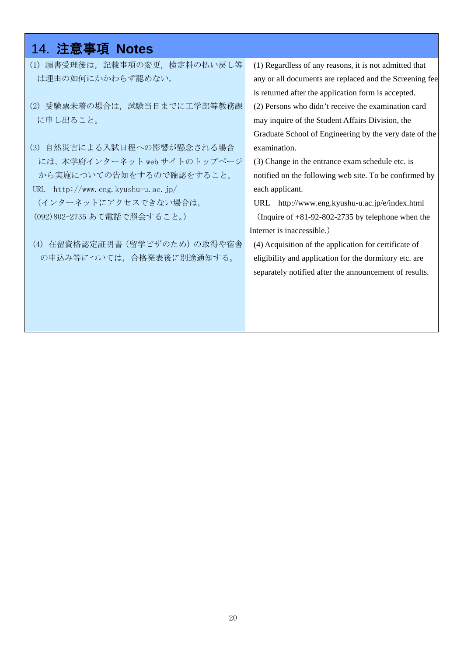### 14. 注意事項 **Notes**

- (1) 願書受理後は,記載事項の変更,検定料の払い戻し等 は理由の如何にかかわらず認めない。
- (2) 受験票未着の場合は,試験当日までに工学部等教務課 に申し出ること。

(3) 自然災害による入試日程への影響が懸念される場合 には,本学府インターネット web サイトのトップページ から実施についての告知をするので確認をすること。 URL http://www.eng.kyushu-u.ac.jp/ (インターネットにアクセスできない場合は,

(092)802-2735 あて電話で照会すること。)

(4) 在留資格認定証明書(留学ビザのため)の取得や宿舎 の申込み等については,合格発表後に別途通知する。

(1) Regardless of any reasons, it is not admitted that any or all documents are replaced and the Screening fee is returned after the application form is accepted. (2) Persons who didn't receive the examination card may inquire of the Student Affairs Division, the Graduate School of Engineering by the very date of the examination.

(3) Change in the entrance exam schedule etc. is notified on the following web site. To be confirmed by each applicant.

URL [http://www.eng.kyushu-u.ac.jp/e/in](http://www.eng.kyushu-u.ac.jp/e/i)dex.html (Inquire of +81-92-802-2735 by telephone when the Internet is inaccessible.)

(4) Acquisition of the application for certificate of eligibility and application for the dormitory etc. are separately notified after the announcement of results.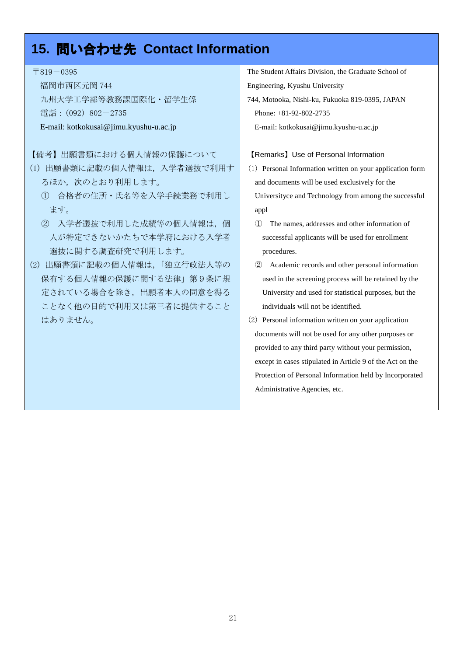### **15.** 問い合わせ先 **Contact Information**

〒819-0395

福岡市西区元岡 744 九州大学工学部等教務課国際化・留学生係 電話: (092) 802-2735

#### E-mail: kotkokusai@jimu.kyushu-u.ac.jp

#### 【備考】出願書類における個人情報の保護について

- (1) 出願書類に記載の個人情報は,入学者選抜で利用す るほか,次のとおり利用します。
	- ① 合格者の住所・氏名等を入学手続業務で利用し ます。
	- ② 入学者選抜で利用した成績等の個人情報は,個 人が特定できないかたちで本学府における入学者 選抜に関する調査研究で利用します。
- (2) 出願書類に記載の個人情報は,「独立行政法人等の 保有する個人情報の保護に関する法律」第9条に規 定されている場合を除き,出願者本人の同意を得る ことなく他の目的で利用又は第三者に提供すること はありません。

The Student Affairs Division, the Graduate School of Engineering, Kyushu University

744, Motooka, Nishi-ku, Fukuoka 819-0395, JAPAN Phone: +81-92-802-2735

### E-mail: kotkokusai@jimu.kyushu-u.ac.jp

#### 【Remarks】Use of Personal Information

- (1) Personal Information written on your application form and documents will be used exclusively for the Universityce and Technology from among the successful appl
	- ① The names, addresses and other information of successful applicants will be used for enrollment procedures.
- ② Academic records and other personal information used in the screening process will be retained by the University and used for statistical purposes, but the individuals will not be identified.
- (2) Personal information written on your application documents will not be used for any other purposes or provided to any third party without your permission, except in cases stipulated in Article 9 of the Act on the Protection of Personal Information held by Incorporated Administrative Agencies, etc.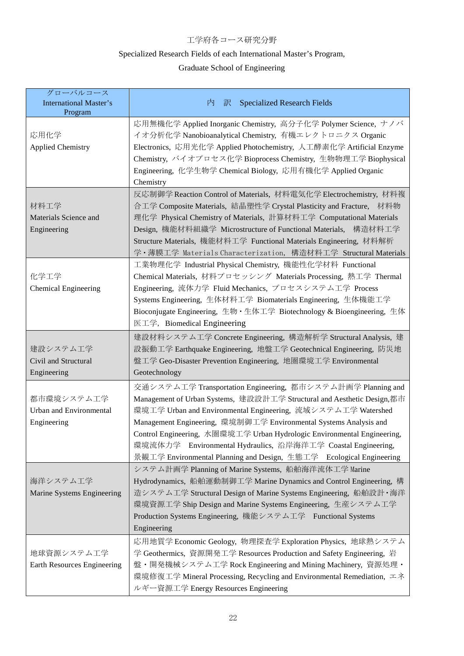#### 工学府各コース研究分野

### Specialized Research Fields of each International Master's Program,

### Graduate School of Engineering

| グローバルコース<br><b>International Master's</b><br>Program        | <b>Specialized Research Fields</b><br>内<br>訳                                                                                                                                                                                                                                                                                                                                                                                                                                                 |
|-------------------------------------------------------------|----------------------------------------------------------------------------------------------------------------------------------------------------------------------------------------------------------------------------------------------------------------------------------------------------------------------------------------------------------------------------------------------------------------------------------------------------------------------------------------------|
| 応用化学<br><b>Applied Chemistry</b>                            | 応用無機化学 Applied Inorganic Chemistry, 高分子化学 Polymer Science, ナノバ<br>イオ分析化学 Nanobioanalytical Chemistry, 有機エレクトロニクス Organic<br>Electronics, 応用光化学 Applied Photochemistry, 人工酵素化学 Artificial Enzyme<br>Chemistry, バイオプロセス化学 Bioprocess Chemistry, 生物物理工学 Biophysical<br>Engineering, 化学生物学 Chemical Biology, 応用有機化学 Applied Organic<br>Chemistry                                                                                                                                                 |
| 材料工学<br>Materials Science and<br>Engineering                | 反応制御学 Reaction Control of Materials, 材料電気化学 Electrochemistry, 材料複<br>合工学 Composite Materials, 結晶塑性学 Crystal Plasticity and Fracture, 材料物<br>理化学 Physical Chemistry of Materials, 計算材料工学 Computational Materials<br>Design, 機能材料組織学 Microstructure of Functional Materials, 構造材料工学<br>Structure Materials, 機能材料工学 Functional Materials Engineering, 材料解析<br>学・薄膜工学 Materials Characterization, 構造材料工学 Structural Materials                                                                    |
| 化学工学<br><b>Chemical Engineering</b>                         | 工業物理化学 Industrial Physical Chemistry, 機能性化学材料 Functional<br>Chemical Materials, 材料プロセッシング Materials Processing, 熱工学 Thermal<br>Engineering, 流体力学 Fluid Mechanics, プロセスシステム工学 Process<br>Systems Engineering, 生体材料工学 Biomaterials Engineering, 生体機能工学<br>Bioconjugate Engineering, 生物·生体工学 Biotechnology & Bioengineering, 生体<br>医工学, Biomedical Engineering                                                                                                                                  |
| 建設システム工学<br>Civil and Structural<br>Engineering             | 建設材料システム工学 Concrete Engineering, 構造解析学 Structural Analysis, 建<br>設振動工学 Earthquake Engineering, 地盤工学 Geotechnical Engineering, 防災地<br>盤工学 Geo-Disaster Prevention Engineering, 地圈環境工学 Environmental<br>Geotechnology                                                                                                                                                                                                                                                                          |
| 都市環境システム工学<br><b>Urban and Environmental</b><br>Engineering | 交通システム工学 Transportation Engineering, 都市システム計画学 Planning and<br>Management of Urban Systems, 建設設計工学 Structural and Aesthetic Design,都市<br>環境工学 Urban and Environmental Engineering, 流域システム工学 Watershed<br>Management Engineering, 環境制御工学 Environmental Systems Analysis and<br>Control Engineering, 水圏環境工学 Urban Hydrologic Environmental Engineering,<br>環境流体力学 Environmental Hydraulics, 沿岸海洋工学 Coastal Engineering,<br>景観工学 Environmental Planning and Design, 生態工学 Ecological Engineering |
| 海洋システム工学<br>Marine Systems Engineering                      | システム計画学 Planning of Marine Systems,船舶海洋流体工学 Marine<br>Hydrodynamics,船舶運動制御工学 Marine Dynamics and Control Engineering,構<br>造システム工学 Structural Design of Marine Systems Engineering, 船舶設計・海洋<br>環境資源工学 Ship Design and Marine Systems Engineering, 生産システム工学<br>Production Systems Engineering, 機能システム工学 Functional Systems<br>Engineering                                                                                                                                                      |
| 地球資源システム工学<br>Earth Resources Engineering                   | 応用地質学 Economic Geology, 物理探査学 Exploration Physics, 地球熱システム<br>学 Geothermics, 資源開発工学 Resources Production and Safety Engineering, 岩<br>盤・開発機械システム工学 Rock Engineering and Mining Machinery, 資源処理・<br>環境修復工学 Mineral Processing, Recycling and Environmental Remediation, エネ<br>ルギー資源工学 Energy Resources Engineering                                                                                                                                                                            |